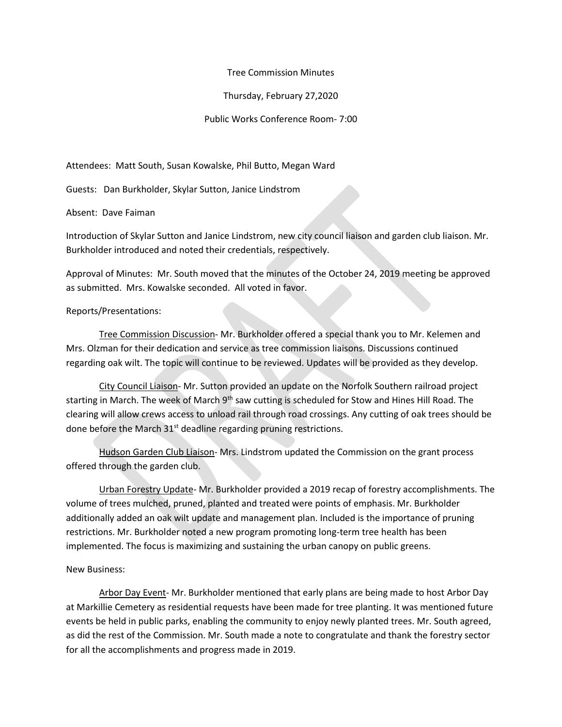## Tree Commission Minutes

Thursday, February 27,2020

Public Works Conference Room- 7:00

Attendees: Matt South, Susan Kowalske, Phil Butto, Megan Ward

Guests: Dan Burkholder, Skylar Sutton, Janice Lindstrom

Absent: Dave Faiman

Introduction of Skylar Sutton and Janice Lindstrom, new city council liaison and garden club liaison. Mr. Burkholder introduced and noted their credentials, respectively.

Approval of Minutes: Mr. South moved that the minutes of the October 24, 2019 meeting be approved as submitted. Mrs. Kowalske seconded. All voted in favor.

## Reports/Presentations:

Tree Commission Discussion- Mr. Burkholder offered a special thank you to Mr. Kelemen and Mrs. Olzman for their dedication and service as tree commission liaisons. Discussions continued regarding oak wilt. The topic will continue to be reviewed. Updates will be provided as they develop.

City Council Liaison- Mr. Sutton provided an update on the Norfolk Southern railroad project starting in March. The week of March 9<sup>th</sup> saw cutting is scheduled for Stow and Hines Hill Road. The clearing will allow crews access to unload rail through road crossings. Any cutting of oak trees should be done before the March 31<sup>st</sup> deadline regarding pruning restrictions.

Hudson Garden Club Liaison- Mrs. Lindstrom updated the Commission on the grant process offered through the garden club.

Urban Forestry Update- Mr. Burkholder provided a 2019 recap of forestry accomplishments. The volume of trees mulched, pruned, planted and treated were points of emphasis. Mr. Burkholder additionally added an oak wilt update and management plan. Included is the importance of pruning restrictions. Mr. Burkholder noted a new program promoting long-term tree health has been implemented. The focus is maximizing and sustaining the urban canopy on public greens.

## New Business:

Arbor Day Event- Mr. Burkholder mentioned that early plans are being made to host Arbor Day at Markillie Cemetery as residential requests have been made for tree planting. It was mentioned future events be held in public parks, enabling the community to enjoy newly planted trees. Mr. South agreed, as did the rest of the Commission. Mr. South made a note to congratulate and thank the forestry sector for all the accomplishments and progress made in 2019.